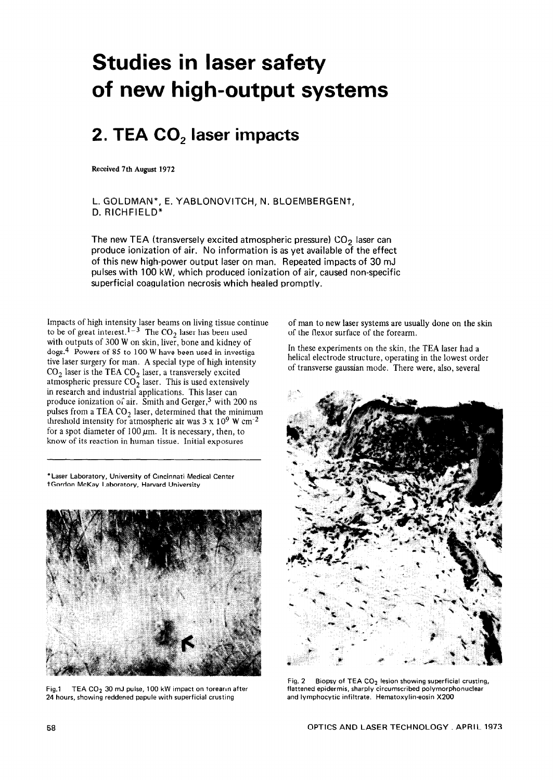## **Studies in laser safety of new high-output systems**

## **2. TEA CO, laser impacts**

**Received 7th August 1972** 

L. GOLDMAN\*, E. YABLONOVITCH, N. BLOEMBERGENt, D. RICHFIELD\*

The new TEA (transversely excited atmospheric pressure)  $CO<sub>2</sub>$  laser can produce ionization of air. No information is as yet available of the effect of this new high-power output laser on man. Repeated impacts of 30 mJ pulses with 100 kW, which produced ionization of air, caused non-specific superficial coagulation necrosis which healed promptly.

Impacts of high intensity laser beams on living tissue continue to be of great interest.<sup>1-3</sup> The CO<sub>2</sub> laser has been used with outputs of 300 W on skin, liver, bone and kidney of dogs.4 Powers of 85 to 100 W have been used in investigative laser surgery for man. A special type of high intensity  $\mathrm{CO}_2$  laser is the TEA  $\mathrm{CO}_2$  laser, a transversely excited atmospheric pressure CO<sub>2</sub> laser. This is used extensively in research and industrial applications. This laser can produce ionization of air. Smith and Gerger,<sup>5</sup> with 200 ns pulses from a TEA  $CO<sub>2</sub>$  laser, determined that the minimum threshold intensity for atmospheric air was  $3 \times 10^9$  W cm<sup>-2</sup> for a spot diameter of  $100 \mu m$ . It is necessary, then, to know of its reaction in human tissue. Initial exposures

**'Laser Laboratory, University of Cincinnati Medical Center \*Gordon McKay Laboratory, Harvard University** 



Fig.1 TEA CO<sub>2</sub> 30 mJ pulse, 100 kW impact on torearin after **24 hours, showing reddened papule with superficial crusting** 

of man to new laser systems are usually done on the skin of the flexor surface of the forearm.

In these experiments on the skin, the TEA laser had a helical electrode structure, operating in the lowest order of transverse gaussian mode. There were, also, several



**Fig. 2 Biopsy of TEA CO2 lesion showing superficial crusting, flattened epidermis, sharply circumscribed polymorphonuclear and lymphocytic infiltrate. Hematoxylin-eosin X200**